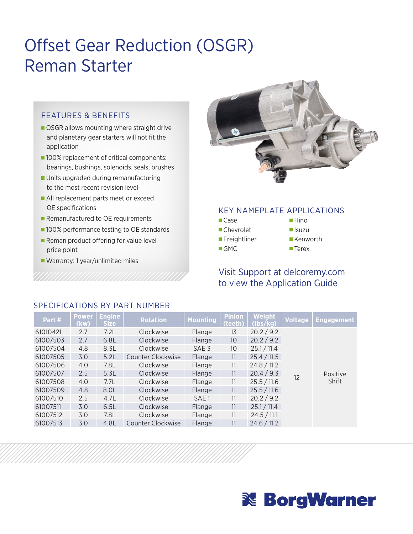# Offset Gear Reduction (OSGR) Reman Starter

#### FEATURES & BENEFITS

- OSGR allows mounting where straight drive and planetary gear starters will not fit the application
- 100% replacement of critical components: bearings, bushings, solenoids, seals, brushes
- **Units upgraded during remanufacturing** to the most recent revision level
- All replacement parts meet or exceed OE specifications
- Remanufactured to OE requirements
- **100% performance testing to OE standards**
- Reman product offering for value level price point
- Warranty: 1 year/unlimited miles



#### KEY NAMEPLATE APPLICATIONS

- Case
- Chevrolet **Freightliner**
- GMC
- **Isuzu Kenworth**

■Hino

■ Terex

# Visit Support at delcoremy.com to view the Application Guide

| Part#    | <b>Power</b><br>(kw) | <b>Engine</b><br><b>Size</b> | <b>Rotation</b>          | <b>Mounting</b>  | <b>Pinion</b><br>(teeth) | Weight<br>(lbs/kg) | Voltage | <b>Engagement</b> |
|----------|----------------------|------------------------------|--------------------------|------------------|--------------------------|--------------------|---------|-------------------|
| 61010421 | 2.7                  | 7.2L                         | Clockwise                | Flange           | 13                       | 20.2 / 9.2         |         |                   |
| 61007503 | 2.7                  | 6.8L                         | Clockwise                | Flange           | 10                       | 20.2 / 9.2         |         |                   |
| 61007504 | 4.8                  | 8.3L                         | Clockwise                | SAE <sub>3</sub> | 10                       | 25.1 / 11.4        |         |                   |
| 61007505 | 3.0                  | 5.2L                         | Counter Clockwise        | Flange           | 11                       | 25.4 / 11.5        |         |                   |
| 61007506 | 4.0                  | 7.8L                         | Clockwise                | Flange           | 11                       | 24.8 / 11.2        |         |                   |
| 61007507 | 2.5                  | 5.3L                         | Clockwise                | Flange           | 11                       | 20.4 / 9.3         | 12      | Positive          |
| 61007508 | 4.0                  | 7.7L                         | Clockwise                | Flange           | 11                       | 25.5 / 11.6        |         | Shift             |
| 61007509 | 4.8                  | 8.0L                         | Clockwise                | Flange           | 11                       | 25.5 / 11.6        |         |                   |
| 61007510 | 2.5                  | 4.7L                         | Clockwise                | SAE <sub>1</sub> | 11                       | 20.2 / 9.2         |         |                   |
| 61007511 | 3.0                  | 6.5L                         | Clockwise                | Flange           | 11                       | 25.1 / 11.4        |         |                   |
| 61007512 | 3.0                  | 7.8L                         | Clockwise                | Flange           | 11                       | 24.5 / 11.1        |         |                   |
| 61007513 | 3.0                  | 4.8L                         | <b>Counter Clockwise</b> | Flange           | 11                       | 24.6 / 11.2        |         |                   |

## SPECIFICATIONS BY PART NUMBER

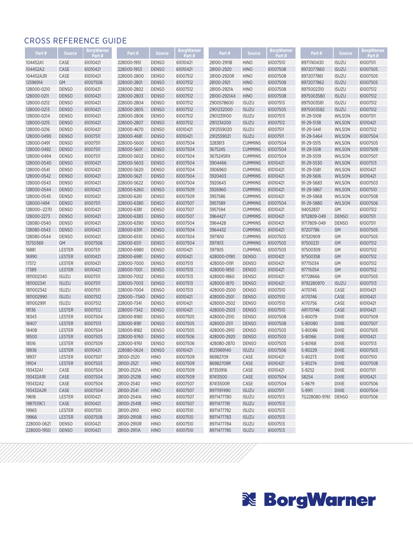## CROSS REFERENCE GUIDE

| Part#                | <b>Source</b> | Borg Warner | Part#        | <b>Source</b> | Borg Warner | Part#        | <b>Source</b>  | Borg Warner | Part #        | <b>Source</b> | Borg Warner          |
|----------------------|---------------|-------------|--------------|---------------|-------------|--------------|----------------|-------------|---------------|---------------|----------------------|
|                      |               | Part#       |              |               | Part#       |              |                | Part #      |               |               | Part #               |
| 104452A1<br>104452A2 | CASE          | 61010421    | 228000-1951  | <b>DENSO</b>  | 61010421    | 28100-2911B  | <b>HINO</b>    | 61007510    | 8971740430    | <b>ISUZU</b>  | 61007511             |
|                      | CASE          | 61010421    | 228000-1953  | <b>DENSO</b>  | 61010421    | 28100-2920   | <b>HINO</b>    | 61007508    | 8972077860    | <b>ISUZU</b>  | 61007505             |
| 104452A2R            | CASE          | 61010421    | 228000-2800  | <b>DENSO</b>  | 61007512    | 28100-2920R  | <b>HINO</b>    | 61007508    | 8972077861    | <b>ISUZU</b>  | 61007505             |
| 12596914             | GM            | 61007506    | 228000-2801  | <b>DENSO</b>  | 61007512    | 28100-2921   | <b>HINO</b>    | 61007508    | 8972077862    | <b>ISUZU</b>  | 61007505             |
| 128000-0210          | <b>DENSO</b>  | 61010421    | 228000-2802  | <b>DENSO</b>  | 61007512    | 28100-2921A  | <b>HINO</b>    | 61007508    | 8975002310    | <b>ISUZU</b>  | 61007512<br>61007512 |
| 128000-0211          | <b>DENSO</b>  | 61010421    | 228000-2803  | <b>DENSO</b>  | 61007512    | 28100-2921AX | <b>HINO</b>    | 61007508    | 8975003580    | <b>ISUZU</b>  |                      |
| 128000-0212          | <b>DENSO</b>  | 61010421    | 228000-2804  | <b>DENSO</b>  | 61007512    | 2900578600   | <b>ISUZU</b>   | 61007513    | 8975003581    | <b>ISUZU</b>  | 61007512             |
| 128000-0213          | <b>DENSO</b>  | 61010421    | 228000-2805  | <b>DENSO</b>  | 61007512    | 2901232000   | <b>ISUZU</b>   | 61007505    | 8975003582    | <b>ISUZU</b>  | 61007512             |
| 128000-0214          | <b>DENSO</b>  | 61010421    | 228000-2806  | <b>DENSO</b>  | 61007512    | 2901239100   | <b>ISUZU</b>   | 61007513    | 91-29-5108    | <b>WILSON</b> | 61007511             |
| 128000-0215          | <b>DENSO</b>  | 61010421    | 228000-2807  | <b>DENSO</b>  | 61007512    | 2911234200   | <b>ISUZU</b>   | 61007512    | 91-29-5138    | <b>WILSON</b> | 61010421             |
| 128000-0216          | <b>DENSO</b>  | 61010421    | 228000-4670  | <b>DENSO</b>  | 61010421    | 2912559020   | <b>ISUZU</b>   | 61007511    | 91-29-5441    | <b>WILSON</b> | 61007512             |
| 128000-0490          | <b>DENSO</b>  | 61007511    | 228000-4681  | <b>DENSO</b>  | 61010421    | 2912559021   | <b>ISUZU</b>   | 61007511    | 91-29-5464    | <b>WILSON</b> | 61007504             |
| 128000-0491          | <b>DENSO</b>  | 61007511    | 228000-5600  | <b>DENSO</b>  | 61007504    | 3283813      | <b>CUMMINS</b> | 61007504    | 91-29-5515    | WILSON        | 61007505             |
| 128000-0492          | <b>DENSO</b>  | 61007511    | 228000-5601  | <b>DENSO</b>  | 61007504    | 3675245      | <b>CUMMINS</b> | 61007504    | 91-29-5518    | <b>WILSON</b> | 61007509             |
| 128000-0494          | <b>DENSO</b>  | 61007511    | 228000-5602  | <b>DENSO</b>  | 61007504    | 3675245RX    | <b>CUMMINS</b> | 61007504    | 91-29-5519    | <b>WILSON</b> | 61007507             |
| 128000-0540          | <b>DENSO</b>  | 61010421    | 228000-5603  | <b>DENSO</b>  | 61007504    | 3904466      | <b>CUMMINS</b> | 61010421    | 91-29-5530    | <b>WILSON</b> | 61007513             |
| 128000-0541          | <b>DENSO</b>  | 61010421    | 228000-5620  | <b>DENSO</b>  | 61007504    | 3906960      | <b>CUMMINS</b> | 61010421    | 91-29-5581    | WILSON        | 61010421             |
| 128000-0542          | <b>DENSO</b>  | 61010421    | 228000-5621  | <b>DENSO</b>  | 61007504    | 3920403      | <b>CUMMINS</b> | 61010421    | 91-29-5616    | <b>WILSON</b> | 61010421             |
| 128000-0543          | <b>DENSO</b>  | 61010421    | 228000-5622  | <b>DENSO</b>  | 61007504    | 3920643      | <b>CUMMINS</b> | 61010421    | 91-29-5683    | <b>WILSON</b> | 61007503             |
| 128000-0544          | <b>DENSO</b>  | 61010421    | 228000-6260  | <b>DENSO</b>  | 61007509    | 3926960      | <b>CUMMINS</b> | 61010421    | 91-29-5867    | <b>WILSON</b> | 61007510             |
| 128000-0545          | <b>DENSO</b>  | 61010421    | 228000-6261  | <b>DENSO</b>  | 61007509    | 3957586      | <b>CUMMINS</b> | 61010421    | 91-29-5868    | WILSON        | 61007508             |
| 128000-1494          | <b>DENSO</b>  | 61007511    | 228000-6380  | <b>DENSO</b>  | 61007507    | 3957589      | <b>CUMMINS</b> | 61007504    | 91-29-5880    | <b>WILSON</b> | 61007506             |
| 128000 -- 2270       | <b>DENSO</b>  | 61010421    | 228000-6381  | <b>DENSO</b>  | 61007507    | 3957594      | <b>CUMMINS</b> | 61010421    | 94052837      | GM            | 61007512             |
| 128000-2273          | <b>DENSO</b>  | 61010421    | 228000-6383  | <b>DENSO</b>  | 61007507    | 3964427      | <b>CUMMINS</b> | 61010421    | 9712809-049   | <b>DENSO</b>  | 61007511             |
| 128080-0540          | <b>DENSO</b>  | 61010421    | 228000-6390  | <b>DENSO</b>  | 61007504    | 3964428      | <b>CUMMINS</b> | 61010421    | 9717809-049   | <b>DENSO</b>  | 61007511             |
| 128080-0543          | <b>DENSO</b>  | 61010421    | 228000-6391  | <b>DENSO</b>  | 61007504    | 3964432      | <b>CUMMINS</b> | 61010421    | 97207786      | GM            | 61007505             |
| 128080-0544          | <b>DENSO</b>  | 61010421    | 228000-6510  | <b>DENSO</b>  | 61007504    | 3971610      | <b>CUMMINS</b> | 61007503    | 97320909      | GM            | 61007505             |
| 15750369             | GM            | 61007506    | 228000-6511  | <b>DENSO</b>  | 61007504    | 3971613      | <b>CUMMINS</b> | 61007503    | 97500231      | GM            | 61007512             |
| 16881                | <b>LESTER</b> | 61007511    | 228000-6980  | <b>DENSO</b>  | 61010421    | 3971615      | <b>CUMMINS</b> | 61007503    | 97500309      | GM            | 61007512             |
| 16990                | <b>LESTER</b> | 61010421    | 228000-6981  | <b>DENSO</b>  | 61010421    | 428000-0190  | <b>DENSO</b>   | 61010421    | 97500358      | GM            | 61007512             |
| 17372                | <b>LESTER</b> | 61010421    | 228000-7000  | <b>DENSO</b>  | 61007513    | 428000-0191  | <b>DENSO</b>   | 61010421    | 97715034      | GM            | 61007512             |
| 17389                | <b>LESTER</b> | 61010421    | 228000-7001  | <b>DENSO</b>  | 61007513    | 428000-1850  | <b>DENSO</b>   | 61010421    | 97715054      | GM            | 61007512             |
| 1811002340           | <b>ISUZU</b>  | 61007511    | 228000-7002  | <b>DENSO</b>  | 61007513    | 428000-1860  | <b>DENSO</b>   | 61010421    | 97728666      | GM            | 61007505             |
| 1811002341           | <b>ISUZU</b>  | 61007511    | 228000-7003  | <b>DENSO</b>  | 61007513    | 428000-1870  | <b>DENSO</b>   | 61010421    | 9792280970    | <b>ISUZU</b>  | 61007513             |
| 1811002342           | <b>ISUZU</b>  | 61007511    | 228000-7004  | <b>DENSO</b>  | 61007513    | 428000-2500  | <b>DENSO</b>   | 61007510    | A170745       | CASE          | 61010421             |
| 1811002990           | <b>ISUZU</b>  | 61007512    | 228000--7340 | <b>DENSO</b>  | 61010421    | 428000-2501  | <b>DENSO</b>   | 61007510    | A170746       | CASE          | 61010421             |
| 1811002991           | <b>ISUZU</b>  | 61007512    | 228000-7341  | <b>DENSO</b>  | 61010421    | 428000-2502  | <b>DENSO</b>   | 61007510    | A170756       | CASE          | 61010421             |
| 18136                | <b>LESTER</b> | 61007512    | 228000-7342  | <b>DENSO</b>  | 61010421    | 428000-2503  | <b>DENSO</b>   | 61007510    | AR170746      | CASE          | 61010421             |
| 18343                | <b>LESTER</b> | 61007504    | 228000-8180  | <b>DENSO</b>  | 61007505    | 428000-2510  | <b>DENSO</b>   | 61007508    | S-80079       | <b>DIXIE</b>  | 61007509             |
| 18407                | <b>LESTER</b> | 61007513    | 228000-8181  | <b>DENSO</b>  | 61007505    | 428000-2511  | <b>DENSO</b>   | 61007508    | S-80080       | <b>DIXIE</b>  | 61007507             |
| 18408                | <b>LESTER</b> | 61007504    | 228000-8182  | <b>DENSO</b>  | 61007505    | 428000-2910  | <b>DENSO</b>   | 61007503    | S-80086       | <b>DIXIE</b>  | 61007505             |
| 18500                | <b>LESTER</b> | 61007505    | 228000-9760  | <b>DENSO</b>  | 61007506    | 428000-2920  | <b>DENSO</b>   | 61007503    | S-80166       | <b>DIXIE</b>  | 61010421             |
| 18516                | <b>LESTER</b> | 61007509    | 228000-9761  | <b>DENSO</b>  | 61007506    | 428080-2870  | <b>DENSO</b>   | 61007503    | S-80168       | <b>DIXIE</b>  | 61007513             |
| 18936                | <b>LESTER</b> | 61010421    | 228080-0624  | <b>DENSO</b>  | 61010421    | 8125969140   | <b>ISUZU</b>   | 61007506    | S-80229       | <b>DIXIE</b>  | 61007503             |
| 18937                | LESTER        | 61007507    | 28100-2520   | <b>HINO</b>   | 61007509    | 86982709     | CASE           | 61010421    | S-80273       | <b>DIXIE</b>  | 61007510             |
| 19104                | <b>LESTER</b> | 61007503    | 28100-2521   | <b>HINO</b>   | 61007509    | 86982709R    | CASE           | 61010421    | S-80274       | <b>DIXIE</b>  | 61007508             |
| 193432A1             | CASE          | 61007504    | 28100-2521A  | <b>HINO</b>   | 61007509    | 87350916     | CASE           | 61010421    | S-8252        | <b>DIXIE</b>  | 61007511             |
| 193432A1R            | CASE          | 61007504    | 28100-2521B  | <b>HINO</b>   | 61007509    | 87413500     | CASE           | 61007504    | S8254         | <b>DIXIE</b>  | 61010421             |
| 193432A2             | CASE          | 61007504    | 28100-2540   | <b>HINO</b>   | 61007507    | 87413500R    | CASE           | 61007504    | S-8679        | <b>DIXIE</b>  | 61007506             |
| 193432A2R            | CASE          | 61007504    | 28100-2541   | <b>HINO</b>   | 61007507    | 8971197490   | <b>ISUZU</b>   | 61007511    | S-8911        | <b>DIXIE</b>  | 61007504             |
| 19618                | LESTER        | 61010421    | 28100-2541A  | <b>HINO</b>   | 61007507    | 8971477780   | <b>ISUZU</b>   | 61007513    | TG228080-9761 | <b>DENSO</b>  | 61007506             |
| 1987559C1            | CASE          | 61010421    | 28100-2541B  | <b>HINO</b>   | 61007507    | 8971477781   | <b>ISUZU</b>   | 61007513    |               |               |                      |
| 19965                | LESTER        | 61007510    | 28100-2910   | <b>HINO</b>   | 61007510    | 8971477782   | <b>ISUZU</b>   | 61007513    |               |               |                      |
| 19966                | LESTER        | 61007508    | 28100-2910B  | <b>HINO</b>   | 61007510    | 8971477783   | <b>ISUZU</b>   | 61007513    |               |               |                      |
| 228000-0621          | <b>DENSO</b>  | 61010421    | 28100-2910R  | <b>HINO</b>   | 61007510    | 8971477784   | <b>ISUZU</b>   | 61007513    |               |               |                      |
| 228000-1950          | <b>DENSO</b>  | 61010421    | 28100-2911A  | <b>HINO</b>   | 61007510    | 8971477785   | <b>ISUZU</b>   | 61007513    |               |               |                      |